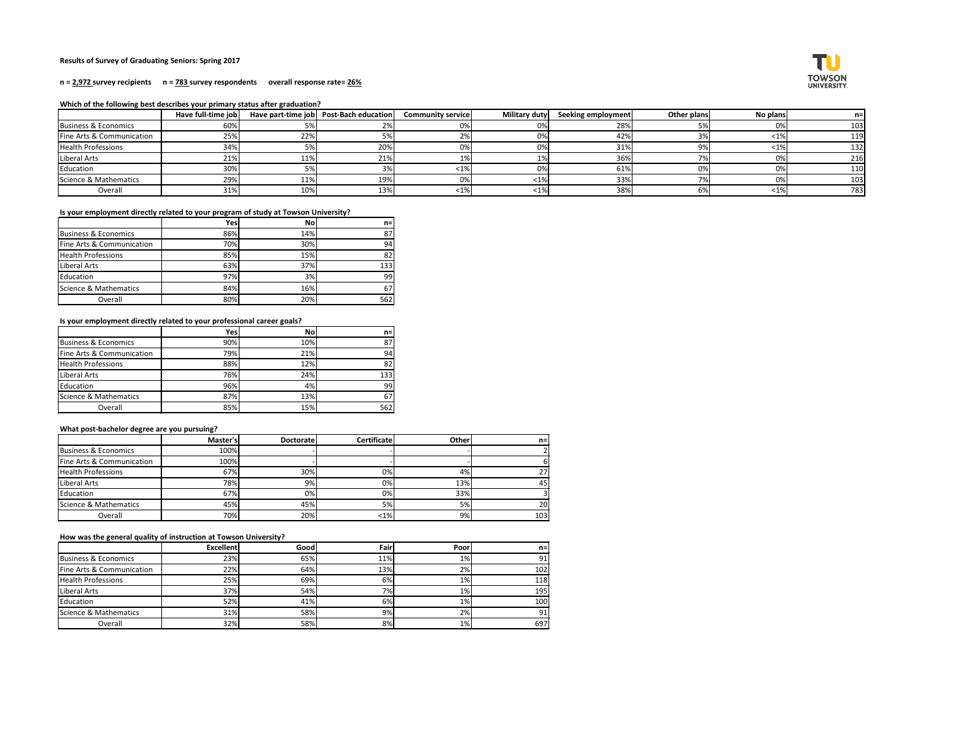# **Results of Survey of Graduating Seniors: Spring 2017**

### **n = 2,972 survey recipients n = 783 survey respondents overall response rate= 26%**

## **Which of the following best describes your primary status after graduation?**

|                           | Have full-time job |     | Have part-time job   Post-Bach education | <b>Community service</b> | Military duty | Seeking employment | Other plans              | No plans | $n=$ |
|---------------------------|--------------------|-----|------------------------------------------|--------------------------|---------------|--------------------|--------------------------|----------|------|
| Business & Economics      | 60%                |     | 2%                                       |                          | 0%            | 28%                |                          | 0%       | 103  |
| Fine Arts & Communication | 25%                | 22% | 5%                                       |                          | 0%            | 42%                |                          | <1%      | 119  |
| <b>Health Professions</b> | 34%                |     | 20%                                      | 0%                       | 0%            | 31%                |                          | $<$ 1%   | 132  |
| Liberal Arts              | 21%                | 11% | 21%                                      |                          |               | 36%                |                          | 0%       | 216  |
| Education                 | 30%                |     | 3%                                       | $<$ 1%                   | 0%            | 61%                |                          | 0%       | 110  |
| Science & Mathematics     | 29%                | 11% | 19%                                      |                          | $ 1\% $       | 33%                | $\overline{\phantom{a}}$ | 0%       | 103  |
| Overall                   | 31%                | 10% | 13%                                      | < 1%                     | $ 1\% $       | 38%                | 6%                       | $< 1\%$  | 783  |

# **Is your employment directly related to your program of study at Towson University?**

|                           | Yes | <b>No</b> | $n=1$ |
|---------------------------|-----|-----------|-------|
| Business & Economics      | 86% | 14%       | 87    |
| Fine Arts & Communication | 70% | 30%       | 94    |
| <b>Health Professions</b> | 85% | 15%       | 82    |
| Liberal Arts              | 63% | 37%       | 133   |
| Education                 | 97% | 3%        | 99    |
| Science & Mathematics     | 84% | 16%       | 67    |
| Overall                   | 80% | 20%       | 562   |

# **Is your employment directly related to your professional career goals?**

|                                 | Yes | No  | $n=1$ |
|---------------------------------|-----|-----|-------|
| <b>Business &amp; Economics</b> | 90% | 10% | 87    |
| Fine Arts & Communication       | 79% | 21% | 94    |
| <b>Health Professions</b>       | 88% | 12% | 82    |
| Liberal Arts                    | 76% | 24% | 133   |
| Education                       | 96% | 4%  | 99    |
| Science & Mathematics           | 87% | 13% | 67    |
| Overall                         | 85% | 15% | 562   |

# **What post-bachelor degree are you pursuing?**

|                           | Master's   | <b>Doctorate</b> | <b>Certificate</b> | <b>Other</b> | $n =$ |
|---------------------------|------------|------------------|--------------------|--------------|-------|
| Business & Economics      | 100%       |                  |                    |              |       |
| Fine Arts & Communication | 100%       |                  |                    |              | b     |
| <b>Health Professions</b> | 67%        | 30%              | 0%                 | 4%           | 27    |
| Liberal Arts              | <b>78%</b> | 9%               | 0%                 | 13%          | 45    |
| Education                 | 67%        | 0%               | 0%                 | 33%          |       |
| Science & Mathematics     | 45%        | 45%              | 5%                 | 5%           | 20    |
| Overall                   | 70%        | 20%              | $<$ 1%             | 9%           | 103   |

# **How was the general quality of instruction at Towson University?**

|                           | <b>Excellent</b> | Good | Fairl | Poorl | $n=1$ |
|---------------------------|------------------|------|-------|-------|-------|
| Business & Economics      | 23%              | 65%  | 11%   | $1\%$ | 91    |
| Fine Arts & Communication | 22%              | 64%  | 13%   | 2%    | 102   |
| <b>Health Professions</b> | 25%              | 69%  | 6%    | 1%    | 118   |
| Liberal Arts              | 37%              | 54%  | 7%    | 1%    | 195   |
| Education                 | 52%              | 41%  | 6%    | $1\%$ | 100   |
| Science & Mathematics     | 31%              | 58%  | 9%    | 2%    | 91    |
| Overall                   | 32%              | 58%  | 8%    | 1%    | 697   |

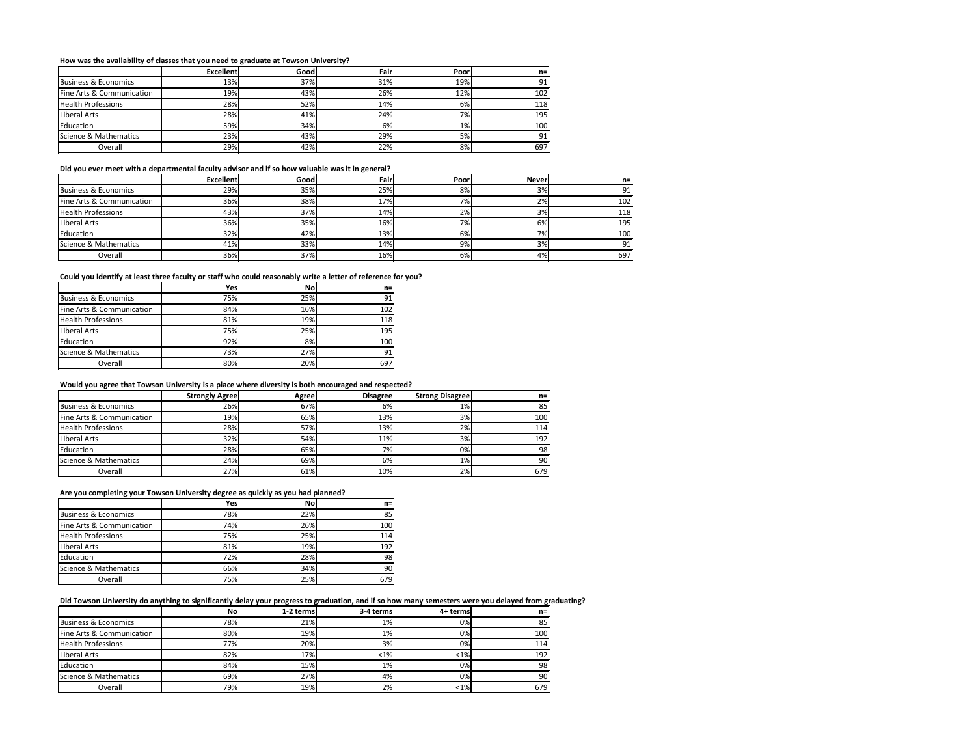# **How was the availability of classes that you need to graduate at Towson University?**

|                           | <b>Excellent</b> | Good | Fair | Poor  | $n =$ |
|---------------------------|------------------|------|------|-------|-------|
| Business & Economics      | <b>13%</b>       | 37%  | 31%  | 19%   | 91    |
| Fine Arts & Communication | 19%              | 43%  | 26%  | 12%   | 102   |
| <b>Health Professions</b> | 28%              | 52%  | 14%  | 6%    | 118   |
| Liberal Arts              | 28%              | 41%  | 24%  | 7%    | 195   |
| Education                 | 59%              | 34%  | 6%   | $1\%$ | 100   |
| Science & Mathematics     | 23%              | 43%  | 29%  | 5%    | 91    |
| Overall                   | 29%              | 42%  | 22%  | 8%    | 697   |

#### **Did you ever meet with a departmental faculty advisor and if so how valuable was it in general?**

|                           | <b>Excellent</b> | Goodl | Fair | Poor | Never           | $n=1$ |
|---------------------------|------------------|-------|------|------|-----------------|-------|
| Business & Economics      | 29%              | 35%   | 25%  | 8%   | 3%              | 91    |
| Fine Arts & Communication | 36%              | 38%   | 17%  | 7%   | 2%              | 102   |
| <b>Health Professions</b> | 43%              | 37%   | 14%  | 2%   | 3%              | 118   |
| Liberal Arts              | 36%              | 35%   | 16%  | 7%   | 6%              | 195   |
| Education                 | 32%              | 42%   | 13%  | 6%   | 7% <sub>1</sub> | 100   |
| Science & Mathematics     | 41%              | 33%   | 14%  | 9%   | 3%              | 91    |
| Overall                   | 36%              | 37%   | 16%  | 6%   | 4%              | 697   |

# **Could you identify at least three faculty or staff who could reasonably write a letter of reference for you?**

|                           | Yes | <b>No</b> | n=  |
|---------------------------|-----|-----------|-----|
| Business & Economics      | 75% | 25%       | 91  |
| Fine Arts & Communication | 84% | 16%       | 102 |
| <b>Health Professions</b> | 81% | 19%       | 118 |
| Liberal Arts              | 75% | 25%       | 195 |
| Education                 | 92% | 8%        | 100 |
| Science & Mathematics     | 73% | 27%       | 91  |
| Overall                   | 80% | 20%       | 697 |

## **Would you agree that Towson University is a place where diversity is both encouraged and respected?**

|                           | <b>Strongly Agree</b> | Agree | <b>Disagree</b> | <b>Strong Disagree</b> | $n =$ |
|---------------------------|-----------------------|-------|-----------------|------------------------|-------|
| Business & Economics      | 26%                   | 67%   | 6%              | 1%                     | 85    |
| Fine Arts & Communication | 19%                   | 65%   | 13%             | 3%                     | 100   |
| <b>Health Professions</b> | 28%                   | 57%   | 13%             | 2%                     | 114   |
| Liberal Arts              | 32%                   | 54%   | 11%             | 3%                     | 192   |
| Education                 | 28%                   | 65%   | 7%              | 0%                     | 98    |
| Science & Mathematics     | 24%                   | 69%   | 6%              | $1\%$                  | 90    |
| Overall                   | 27%                   | 61%   | 10%             | 2%                     | 679   |

# **Are you completing your Towson University degree as quickly as you had planned?**

|                                 | Yes | <b>No</b> | $n=1$ |
|---------------------------------|-----|-----------|-------|
| <b>Business &amp; Economics</b> | 78% | 22%       | 85    |
| Fine Arts & Communication       | 74% | 26%       | 100   |
| <b>Health Professions</b>       | 75% | 25%       | 114   |
| Liberal Arts                    | 81% | 19%       | 192   |
| Education                       | 72% | 28%       | 98    |
| Science & Mathematics           | 66% | 34%       | 90    |
| Overall                         | 75% | 25%       | 679   |

# **Did Towson University do anything to significantly delay your progress to graduation, and if so how many semesters were you delayed from graduating?**

| <b>No</b> | 1-2 terms | 3-4 terms | 4+ terms          | $n =$                                                                                   |
|-----------|-----------|-----------|-------------------|-----------------------------------------------------------------------------------------|
|           | 21%       |           |                   | 85                                                                                      |
| 80%       |           |           |                   | 100                                                                                     |
| 77%       |           |           |                   | 114                                                                                     |
| 82%       | 17%       |           |                   | 192                                                                                     |
| 84%       | 15%       |           |                   | 98                                                                                      |
| 69%       | 27%       |           |                   | 90                                                                                      |
| 79%       |           |           | $< 1\%$           | 679                                                                                     |
|           |           | 78%       | 19%<br>20%<br>19% | $1\%$<br>0%<br>1%<br>0%<br>3%<br>0%<br>$< 1\%$<br>$< 1\%$<br>1%<br>0%<br>0%<br>4%<br>2% |